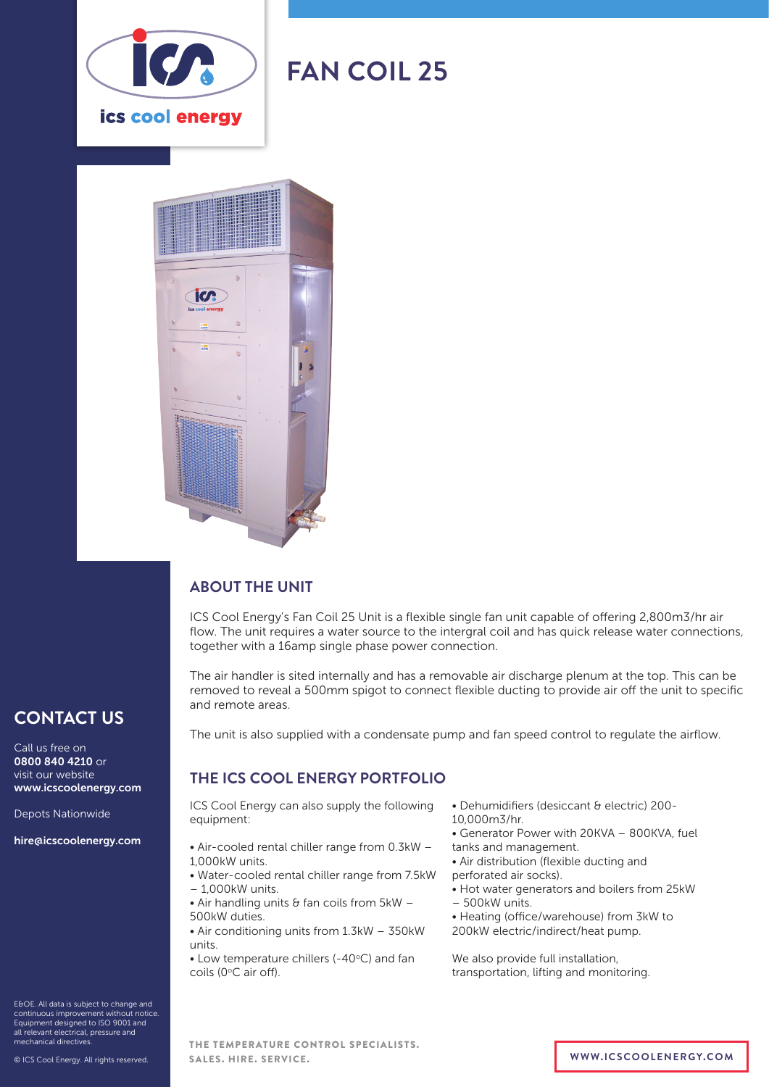

# **FAN COIL 25**



# **ABOUT THE UNIT**

ICS Cool Energy's Fan Coil 25 Unit is a flexible single fan unit capable of offering 2,800m3/hr air flow. The unit requires a water source to the intergral coil and has quick release water connections, together with a 16amp single phase power connection.

The air handler is sited internally and has a removable air discharge plenum at the top. This can be removed to reveal a 500mm spigot to connect flexible ducting to provide air off the unit to specific and remote areas.

**CONTACT US**

Call us free on 0800 840 4210 or visit our website www.icscoolenergy.com

Depots Nationwide

hire@icscoolenergy.com

E&OE. All data is subject to change and continuous improvement without notice. Equipment designed to ISO 9001 and all relevant electrical, pressure and

The unit is also supplied with a condensate pump and fan speed control to regulate the airflow.

# **THE ICS COOL ENERGY PORTFOLIO**

ICS Cool Energy can also supply the following equipment:

- Air-cooled rental chiller range from 0.3kW 1,000kW units.
- Water-cooled rental chiller range from 7.5kW – 1,000kW units.
- $\bullet$  Air handling units & fan coils from 5kW -500kW duties.
- Air conditioning units from 1.3kW 350kW units.
- $\bullet$  Low temperature chillers (-40 $\degree$ C) and fan coils (0°C air off).
- Dehumidifiers (desiccant & electric) 200-
- 10,000m3/hr.
- Generator Power with 20KVA 800KVA, fuel
- tanks and management.
- Air distribution (flexible ducting and
- perforated air socks).
- Hot water generators and boilers from 25kW
- 500kW units.
- Heating (office/warehouse) from 3kW to 200kW electric/indirect/heat pump.

We also provide full installation, transportation, lifting and monitoring.

mechanical directives. © ICS Cool Energy. All rights reserved. THE TEMPERATURE CONTROL SPECIALISTS. SALES. HIRE. SERVICE. **WWW.ICSCOOLENERGY.COM**